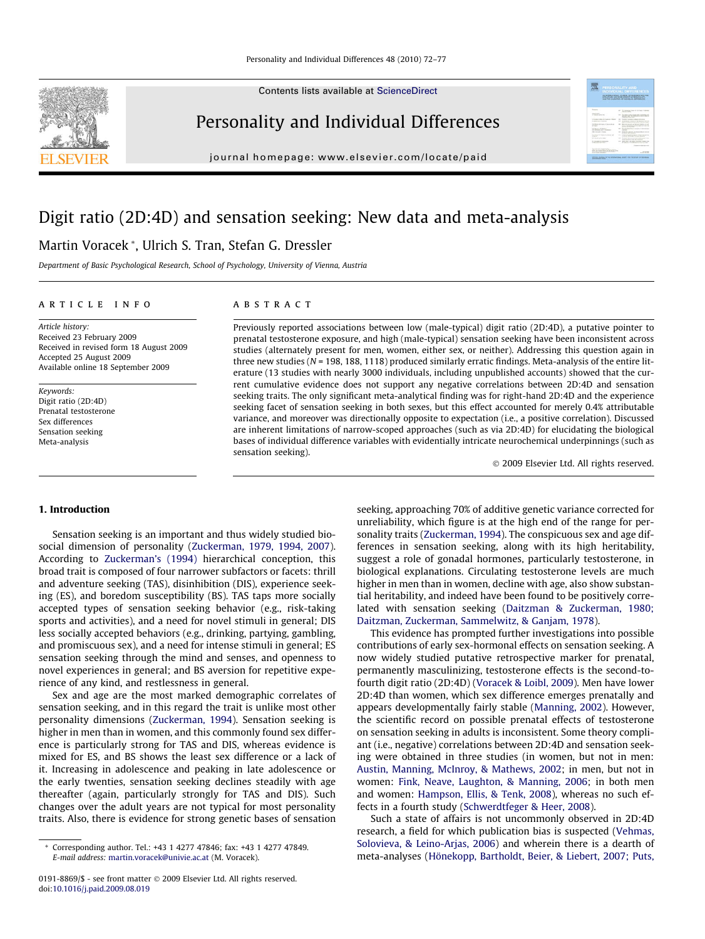Contents lists available at [ScienceDirect](http://www.sciencedirect.com/science/journal/01918869)



Personality and Individual Differences

journal homepage: [www.elsevier.com/locate/paid](http://www.elsevier.com/locate/paid)

# Digit ratio (2D:4D) and sensation seeking: New data and meta-analysis

### Martin Voracek \*, Ulrich S. Tran, Stefan G. Dressler

Department of Basic Psychological Research, School of Psychology, University of Vienna, Austria

#### article info

Article history: Received 23 February 2009 Received in revised form 18 August 2009 Accepted 25 August 2009 Available online 18 September 2009

Keywords: Digit ratio (2D:4D) Prenatal testosterone Sex differences Sensation seeking Meta-analysis

#### **ABSTRACT**

Previously reported associations between low (male-typical) digit ratio (2D:4D), a putative pointer to prenatal testosterone exposure, and high (male-typical) sensation seeking have been inconsistent across studies (alternately present for men, women, either sex, or neither). Addressing this question again in three new studies ( $N = 198, 188, 1118$ ) produced similarly erratic findings. Meta-analysis of the entire literature (13 studies with nearly 3000 individuals, including unpublished accounts) showed that the current cumulative evidence does not support any negative correlations between 2D:4D and sensation seeking traits. The only significant meta-analytical finding was for right-hand 2D:4D and the experience seeking facet of sensation seeking in both sexes, but this effect accounted for merely 0.4% attributable variance, and moreover was directionally opposite to expectation (i.e., a positive correlation). Discussed are inherent limitations of narrow-scoped approaches (such as via 2D:4D) for elucidating the biological bases of individual difference variables with evidentially intricate neurochemical underpinnings (such as sensation seeking).

- 2009 Elsevier Ltd. All rights reserved.

需

#### 1. Introduction

Sensation seeking is an important and thus widely studied biosocial dimension of personality [\(Zuckerman, 1979, 1994, 2007\)](#page--1-0). According to [Zuckerman's \(1994\)](#page--1-0) hierarchical conception, this broad trait is composed of four narrower subfactors or facets: thrill and adventure seeking (TAS), disinhibition (DIS), experience seeking (ES), and boredom susceptibility (BS). TAS taps more socially accepted types of sensation seeking behavior (e.g., risk-taking sports and activities), and a need for novel stimuli in general; DIS less socially accepted behaviors (e.g., drinking, partying, gambling, and promiscuous sex), and a need for intense stimuli in general; ES sensation seeking through the mind and senses, and openness to novel experiences in general; and BS aversion for repetitive experience of any kind, and restlessness in general.

Sex and age are the most marked demographic correlates of sensation seeking, and in this regard the trait is unlike most other personality dimensions [\(Zuckerman, 1994](#page--1-0)). Sensation seeking is higher in men than in women, and this commonly found sex difference is particularly strong for TAS and DIS, whereas evidence is mixed for ES, and BS shows the least sex difference or a lack of it. Increasing in adolescence and peaking in late adolescence or the early twenties, sensation seeking declines steadily with age thereafter (again, particularly strongly for TAS and DIS). Such changes over the adult years are not typical for most personality traits. Also, there is evidence for strong genetic bases of sensation seeking, approaching 70% of additive genetic variance corrected for unreliability, which figure is at the high end of the range for personality traits [\(Zuckerman, 1994](#page--1-0)). The conspicuous sex and age differences in sensation seeking, along with its high heritability, suggest a role of gonadal hormones, particularly testosterone, in biological explanations. Circulating testosterone levels are much higher in men than in women, decline with age, also show substantial heritability, and indeed have been found to be positively correlated with sensation seeking ([Daitzman & Zuckerman, 1980;](#page--1-0) [Daitzman, Zuckerman, Sammelwitz, & Ganjam, 1978](#page--1-0)).

This evidence has prompted further investigations into possible contributions of early sex-hormonal effects on sensation seeking. A now widely studied putative retrospective marker for prenatal, permanently masculinizing, testosterone effects is the second-tofourth digit ratio (2D:4D) ([Voracek & Loibl, 2009\)](#page--1-0). Men have lower 2D:4D than women, which sex difference emerges prenatally and appears developmentally fairly stable ([Manning, 2002\)](#page--1-0). However, the scientific record on possible prenatal effects of testosterone on sensation seeking in adults is inconsistent. Some theory compliant (i.e., negative) correlations between 2D:4D and sensation seeking were obtained in three studies (in women, but not in men: [Austin, Manning, McInroy, & Mathews, 2002;](#page--1-0) in men, but not in women: [Fink, Neave, Laughton, & Manning, 2006;](#page--1-0) in both men and women: [Hampson, Ellis, & Tenk, 2008](#page--1-0)), whereas no such effects in a fourth study ([Schwerdtfeger & Heer, 2008\)](#page--1-0).

Such a state of affairs is not uncommonly observed in 2D:4D research, a field for which publication bias is suspected ([Vehmas,](#page--1-0) [Solovieva, & Leino-Arjas, 2006\)](#page--1-0) and wherein there is a dearth of meta-analyses [\(Hönekopp, Bartholdt, Beier, & Liebert, 2007; Puts,](#page--1-0)

<sup>\*</sup> Corresponding author. Tel.: +43 1 4277 47846; fax: +43 1 4277 47849. E-mail address: [martin.voracek@univie.ac.at](mailto:martin.voracek@univie.ac.at) (M. Voracek).

<sup>0191-8869/\$ -</sup> see front matter © 2009 Elsevier Ltd. All rights reserved. doi:[10.1016/j.paid.2009.08.019](http://dx.doi.org/10.1016/j.paid.2009.08.019)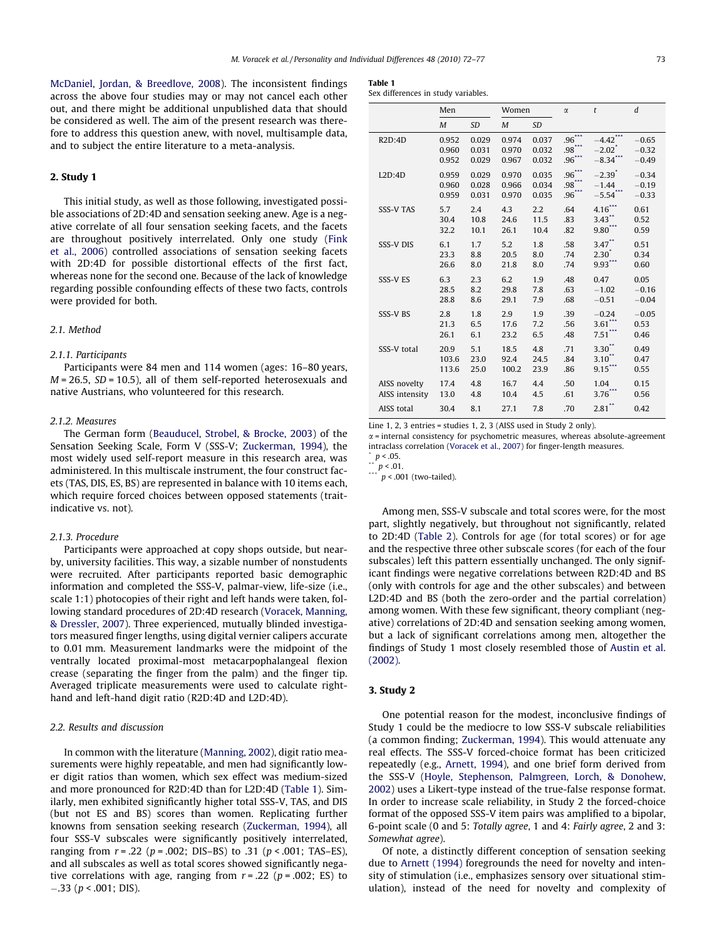[McDaniel, Jordan, & Breedlove, 2008](#page--1-0)). The inconsistent findings across the above four studies may or may not cancel each other out, and there might be additional unpublished data that should be considered as well. The aim of the present research was therefore to address this question anew, with novel, multisample data, and to subject the entire literature to a meta-analysis.

#### 2. Study 1

This initial study, as well as those following, investigated possible associations of 2D:4D and sensation seeking anew. Age is a negative correlate of all four sensation seeking facets, and the facets are throughout positively interrelated. Only one study ([Fink](#page--1-0) [et al., 2006\)](#page--1-0) controlled associations of sensation seeking facets with 2D:4D for possible distortional effects of the first fact, whereas none for the second one. Because of the lack of knowledge regarding possible confounding effects of these two facts, controls were provided for both.

#### 2.1. Method

#### 2.1.1. Participants

Participants were 84 men and 114 women (ages: 16–80 years,  $M = 26.5$ ,  $SD = 10.5$ ), all of them self-reported heterosexuals and native Austrians, who volunteered for this research.

#### 2.1.2. Measures

The German form [\(Beauducel, Strobel, & Brocke, 2003](#page--1-0)) of the Sensation Seeking Scale, Form V (SSS-V; [Zuckerman, 1994\)](#page--1-0), the most widely used self-report measure in this research area, was administered. In this multiscale instrument, the four construct facets (TAS, DIS, ES, BS) are represented in balance with 10 items each, which require forced choices between opposed statements (traitindicative vs. not).

#### 2.1.3. Procedure

Participants were approached at copy shops outside, but nearby, university facilities. This way, a sizable number of nonstudents were recruited. After participants reported basic demographic information and completed the SSS-V, palmar-view, life-size (i.e., scale 1:1) photocopies of their right and left hands were taken, following standard procedures of 2D:4D research ([Voracek, Manning,](#page--1-0) [& Dressler, 2007](#page--1-0)). Three experienced, mutually blinded investigators measured finger lengths, using digital vernier calipers accurate to 0.01 mm. Measurement landmarks were the midpoint of the ventrally located proximal-most metacarpophalangeal flexion crease (separating the finger from the palm) and the finger tip. Averaged triplicate measurements were used to calculate righthand and left-hand digit ratio (R2D:4D and L2D:4D).

#### 2.2. Results and discussion

In common with the literature [\(Manning, 2002\)](#page--1-0), digit ratio measurements were highly repeatable, and men had significantly lower digit ratios than women, which sex effect was medium-sized and more pronounced for R2D:4D than for L2D:4D (Table 1). Similarly, men exhibited significantly higher total SSS-V, TAS, and DIS (but not ES and BS) scores than women. Replicating further knowns from sensation seeking research ([Zuckerman, 1994\)](#page--1-0), all four SSS-V subscales were significantly positively interrelated, ranging from  $r = .22$  ( $p = .002$ ; DIS-BS) to .31 ( $p < .001$ ; TAS-ES), and all subscales as well as total scores showed significantly negative correlations with age, ranging from  $r = .22$  ( $p = .002$ ; ES) to  $-.33$  ( $p < .001$ ; DIS).

#### Table 1

|  |  | Sex differences in study variables. |  |  |  |
|--|--|-------------------------------------|--|--|--|
|--|--|-------------------------------------|--|--|--|

|                                | Men                     |                         | Women                   |                         | $\alpha$                    | t                                                   | $\boldsymbol{d}$              |
|--------------------------------|-------------------------|-------------------------|-------------------------|-------------------------|-----------------------------|-----------------------------------------------------|-------------------------------|
|                                | M                       | <b>SD</b>               | M                       | <b>SD</b>               |                             |                                                     |                               |
| R2D:4D                         | 0.952<br>0.960<br>0.952 | 0.029<br>0.031<br>0.029 | 0.974<br>0.970<br>0.967 | 0.037<br>0.032<br>0.032 | .96<br>$.98***$<br>$.96***$ | $-4.42$ ***<br>$-2.02$ <sup>*</sup><br>$-8.34$ **   | $-0.65$<br>$-0.32$<br>$-0.49$ |
| L2D:4D                         | 0.959<br>0.960<br>0.959 | 0.029<br>0.028<br>0.031 | 0.970<br>0.966<br>0.970 | 0.035<br>0.034<br>0.035 | .96<br>.98<br>$.96***$      | $-2.39$ <sup>*</sup><br>$-1.44$<br>$-5.54$ $\cdots$ | $-0.34$<br>$-0.19$<br>$-0.33$ |
| <b>SSS-V TAS</b>               | 5.7<br>30.4<br>32.2     | 2.4<br>10.8<br>10.1     | 4.3<br>24.6<br>26.1     | 2.2<br>11.5<br>10.4     | .64<br>.83<br>.82           | $4.16$ ***<br>3.43"<br>9.80                         | 0.61<br>0.52<br>0.59          |
| <b>SSS-V DIS</b>               | 6.1<br>23.3<br>26.6     | 1.7<br>8.8<br>8.0       | 5.2<br>20.5<br>21.8     | 1.8<br>8.0<br>8.0       | .58<br>.74<br>.74           | $3.47$ **<br>$2.30^{\degree}$<br>$9.93$ ***         | 0.51<br>0.34<br>0.60          |
| <b>SSS-V ES</b>                | 6.3<br>28.5<br>28.8     | 2.3<br>8.2<br>8.6       | 6.2<br>29.8<br>29.1     | 1.9<br>7.8<br>7.9       | .48<br>.63<br>.68           | 0.47<br>$-1.02$<br>$-0.51$                          | 0.05<br>$-0.16$<br>$-0.04$    |
| SSS-V BS                       | 2.8<br>21.3<br>26.1     | 1.8<br>6.5<br>6.1       | 2.9<br>17.6<br>23.2     | 1.9<br>7.2<br>6.5       | .39<br>.56<br>.48           | $-0.24$<br>$3.61$ <sup>***</sup><br>$7.51$ ***      | $-0.05$<br>0.53<br>0.46       |
| SSS-V total                    | 20.9<br>103.6<br>113.6  | 5.1<br>23.0<br>25.0     | 18.5<br>92.4<br>100.2   | 4.8<br>24.5<br>23.9     | .71<br>.84<br>.86           | $3.30$ *<br>$3.10$ **<br>$9.15$ ***                 | 0.49<br>0.47<br>0.55          |
| AISS novelty<br>AISS intensity | 17.4<br>13.0            | 4.8<br>4.8              | 16.7<br>10.4            | 4.4<br>4.5              | .50<br>.61                  | 1.04<br>$3.76***$                                   | 0.15<br>0.56                  |
| AISS total                     | 30.4                    | 8.1                     | 27.1                    | 7.8                     | .70                         | $2.81$ **                                           | 0.42                          |

Line 1, 2, 3 entries = studies 1, 2, 3 (AISS used in Study 2 only).

 $\alpha$  = internal consistency for psychometric measures, whereas absolute-agreement intraclass correlation [\(Voracek et al., 2007](#page--1-0)) for finger-length measures.

\*  $p < .05$ .  $p < .01$ .

 $p < .001$  (two-tailed).

Among men, SSS-V subscale and total scores were, for the most part, slightly negatively, but throughout not significantly, related to 2D:4D [\(Table 2](#page--1-0)). Controls for age (for total scores) or for age and the respective three other subscale scores (for each of the four subscales) left this pattern essentially unchanged. The only significant findings were negative correlations between R2D:4D and BS (only with controls for age and the other subscales) and between L2D:4D and BS (both the zero-order and the partial correlation) among women. With these few significant, theory compliant (negative) correlations of 2D:4D and sensation seeking among women, but a lack of significant correlations among men, altogether the findings of Study 1 most closely resembled those of [Austin et al.](#page--1-0) [\(2002\)](#page--1-0).

#### 3. Study 2

One potential reason for the modest, inconclusive findings of Study 1 could be the mediocre to low SSS-V subscale reliabilities (a common finding; [Zuckerman, 1994\)](#page--1-0). This would attenuate any real effects. The SSS-V forced-choice format has been criticized repeatedly (e.g., [Arnett, 1994](#page--1-0)), and one brief form derived from the SSS-V ([Hoyle, Stephenson, Palmgreen, Lorch, & Donohew,](#page--1-0) [2002](#page--1-0)) uses a Likert-type instead of the true-false response format. In order to increase scale reliability, in Study 2 the forced-choice format of the opposed SSS-V item pairs was amplified to a bipolar, 6-point scale (0 and 5: Totally agree, 1 and 4: Fairly agree, 2 and 3: Somewhat agree).

Of note, a distinctly different conception of sensation seeking due to [Arnett \(1994\)](#page--1-0) foregrounds the need for novelty and intensity of stimulation (i.e., emphasizes sensory over situational stimulation), instead of the need for novelty and complexity of